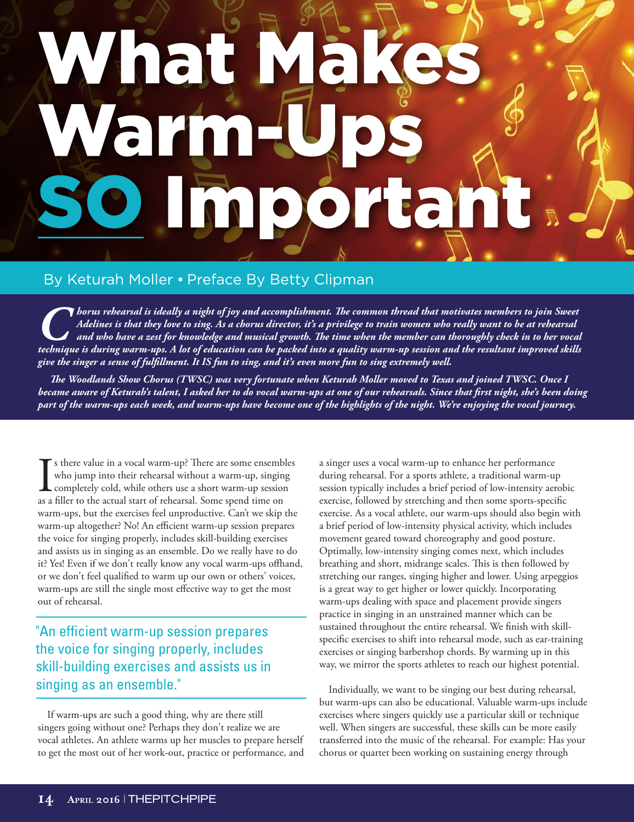## What Warm-Ups **DOMEAN**

## By Keturah Moller • Preface By Betty Clipman

*Chorus rehearsal is ideally a night of joy and accomplishment. The common thread that motivates members to join Sweet*<br>Adelines is that they love to sing. As a chorus director, it's a privilege to train women who really w *Adelines is that they love to sing. As a chorus director, it's a privilege to train women who really want to be at rehearsal and who have a zest for knowledge and musical growth. The time when the member can thoroughly check in to her vocal technique is during warm-ups. A lot of education can be packed into a quality warm-up session and the resultant improved skills give the singer a sense of fulfillment. It IS fun to sing, and it's even more fun to sing extremely well.* 

*The Woodlands Show Chorus (TWSC) was very fortunate when Keturah Moller moved to Texas and joined TWSC. Once I became aware of Keturah's talent, I asked her to do vocal warm-ups at one of our rehearsals. Since that first night, she's been doing part of the warm-ups each week, and warm-ups have become one of the highlights of the night. We're enjoying the vocal journey.* 

If s there value in a vocal warm-up? There are some ensemb<br>who jump into their rehearsal without a warm-up, singin<br>completely cold, while others use a short warm-up session<br>as a filler to the actual start of rehearsal. Som s there value in a vocal warm-up? There are some ensembles who jump into their rehearsal without a warm-up, singing completely cold, while others use a short warm-up session warm-ups, but the exercises feel unproductive. Can't we skip the warm-up altogether? No! An efficient warm-up session prepares the voice for singing properly, includes skill-building exercises and assists us in singing as an ensemble. Do we really have to do it? Yes! Even if we don't really know any vocal warm-ups offhand, or we don't feel qualified to warm up our own or others' voices, warm-ups are still the single most effective way to get the most out of rehearsal.

"An efficient warm-up session prepares the voice for singing properly, includes skill-building exercises and assists us in singing as an ensemble."

If warm-ups are such a good thing, why are there still singers going without one? Perhaps they don't realize we are vocal athletes. An athlete warms up her muscles to prepare herself to get the most out of her work-out, practice or performance, and a singer uses a vocal warm-up to enhance her performance during rehearsal. For a sports athlete, a traditional warm-up session typically includes a brief period of low-intensity aerobic exercise, followed by stretching and then some sports-specific exercise. As a vocal athlete, our warm-ups should also begin with a brief period of low-intensity physical activity, which includes movement geared toward choreography and good posture. Optimally, low-intensity singing comes next, which includes breathing and short, midrange scales. This is then followed by stretching our ranges, singing higher and lower. Using arpeggios is a great way to get higher or lower quickly. Incorporating warm-ups dealing with space and placement provide singers practice in singing in an unstrained manner which can be sustained throughout the entire rehearsal. We finish with skillspecific exercises to shift into rehearsal mode, such as ear-training exercises or singing barbershop chords. By warming up in this way, we mirror the sports athletes to reach our highest potential.

Individually, we want to be singing our best during rehearsal, but warm-ups can also be educational. Valuable warm-ups include exercises where singers quickly use a particular skill or technique well. When singers are successful, these skills can be more easily transferred into the music of the rehearsal. For example: Has your chorus or quartet been working on sustaining energy through